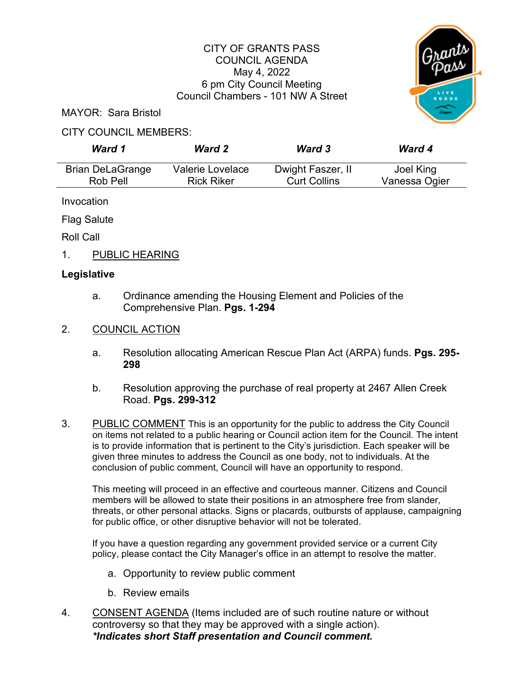## CITY OF GRANTS PASS COUNCIL AGENDA May 4, 2022 6 pm City Council Meeting Council Chambers - 101 NW A Street



MAYOR: Sara Bristol

## CITY COUNCIL MEMBERS:

| Ward 1                  | <b>Ward 2</b>     | <b>Ward 3</b>       | <b>Ward 4</b> |
|-------------------------|-------------------|---------------------|---------------|
| <b>Brian DeLaGrange</b> | Valerie Lovelace  | Dwight Faszer, II   | Joel King     |
| Rob Pell                | <b>Rick Riker</b> | <b>Curt Collins</b> | Vanessa Ogier |

Invocation

Flag Salute

Roll Call

1. PUBLIC HEARING

## **Legislative**

- a. Ordinance amending the Housing Element and Policies of the Comprehensive Plan. **Pgs. 1-294**
- 2. COUNCIL ACTION
	- a. Resolution allocating American Rescue Plan Act (ARPA) funds. **Pgs. 295- 298**
	- b. Resolution approving the purchase of real property at 2467 Allen Creek Road. **Pgs. 299-312**
- 3. PUBLIC COMMENT This is an opportunity for the public to address the City Council on items not related to a public hearing or Council action item for the Council. The intent is to provide information that is pertinent to the City's jurisdiction. Each speaker will be given three minutes to address the Council as one body, not to individuals. At the conclusion of public comment, Council will have an opportunity to respond.

This meeting will proceed in an effective and courteous manner. Citizens and Council members will be allowed to state their positions in an atmosphere free from slander, threats, or other personal attacks. Signs or placards, outbursts of applause, campaigning for public office, or other disruptive behavior will not be tolerated.

If you have a question regarding any government provided service or a current City policy, please contact the City Manager's office in an attempt to resolve the matter.

- a. Opportunity to review public comment
- b. Review emails
- 4. CONSENT AGENDA (Items included are of such routine nature or without controversy so that they may be approved with a single action). *\*Indicates short Staff presentation and Council comment.*